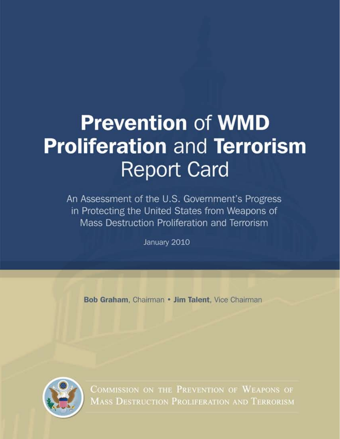# **Prevention of WMD Proliferation and Terrorism Report Card**

An Assessment of the U.S. Government's Progress in Protecting the United States from Weapons of Mass Destruction Proliferation and Terrorism

January 2010

Bob Graham, Chairman . Jim Talent, Vice Chairman



COMMISSION ON THE PREVENTION OF WEAPONS OF **MASS DESTRUCTION PROLIFERATION AND TERRORISM**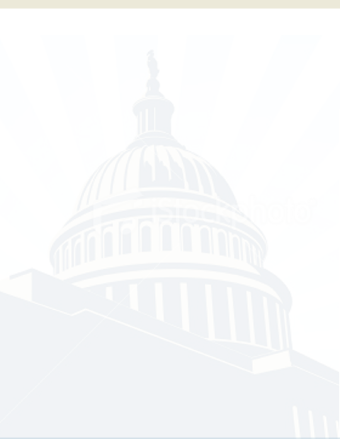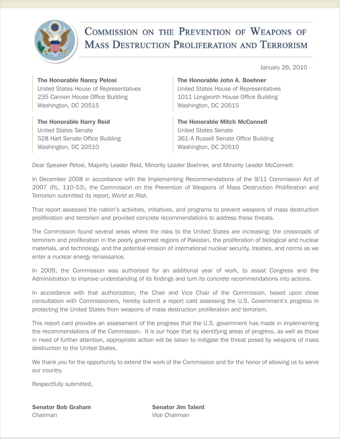

# COMMISSION ON THE PREVENTION OF WEAPONS OF MASS DESTRUCTION PROLIFERATION AND TERRORISM

January 26, 2010

The Honorable Nancy Pelosi The Honorable John A. Boehner United States House of Representatives United States House of Representatives 235 Cannon House Office Building 1011 Longworth House Office Building Washington, DC 20515 Washington, DC 20515

United States Senate United States Senate Washington, DC 20510 Washington, DC 20510

The Honorable Harry Reid **The Honorable Mitch McConnell** 528 Hart Senate Office Building 361-A Russell Senate Office Building

Dear Speaker Pelosi, Majority Leader Reid, Minority Leader Boehner, and Minority Leader McConnell:

In December 2008 in accordance with the Implementing Recommendations of the 9/11 Commission Act of 2007 (P.L. 110-53), the Commission on the Prevention of Weapons of Mass Destruction Proliferation and Terrorism submitted its report, *World at Risk*.

That report assessed the nation's activities, initiatives, and programs to prevent weapons of mass destruction proliferation and terrorism and provided concrete recommendations to address these threats.

The Commission found several areas where the risks to the United States are increasing: the crossroads of terrorism and proliferation in the poorly governed regions of Pakistan, the proliferation of biological and nuclear materials, and technology, and the potential erosion of international nuclear security, treaties, and norms as we enter a nuclear energy renaissance.

In 2009, the Commission was authorized for an additional year of work, to assist Congress and the Administration to improve understanding of its findings and turn its concrete recommendations into actions.

In accordance with that authorization, the Chair and Vice Chair of the Commission, based upon close consultation with Commissioners, hereby submit a report card assessing the U.S. Government's progress in protecting the United States from weapons of mass destruction proliferation and terrorism.

This report card provides an assessment of the progress that the U.S. government has made in implementing the recommendations of the Commission. It is our hope that by identifying areas of progress, as well as those in need of further attention, appropriate action will be taken to mitigate the threat posed by weapons of mass destruction to the United States.

We thank you for the opportunity to extend the work of the Commission and for the honor of allowing us to serve our country.

Respectfully submitted,

Senator Bob Graham Senator Jim Talent *Chairman Vice Chairman*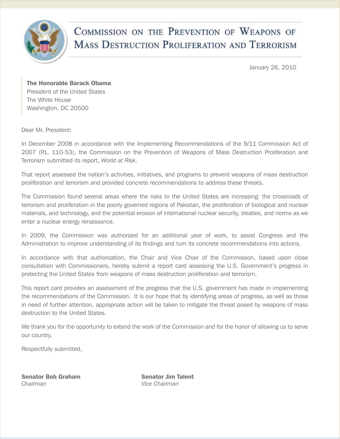

# COMMISSION ON THE PREVENTION OF WEAPONS OF MASS DESTRUCTION PROLIFERATION AND TERRORISM

January 26, 2010

The Honorable Barack Obama President of the United States The White House Washington, DC 20500

Dear Mr. President:

In December 2008 in accordance with the Implementing Recommendations of the 9/11 Commission Act of 2007 (P.L. 110-53), the Commission on the Prevention of Weapons of Mass Destruction Proliferation and Terrorism submitted its report, *World at Risk*.

That report assessed the nation's activities, initiatives, and programs to prevent weapons of mass destruction proliferation and terrorism and provided concrete recommendations to address these threats.

The Commission found several areas where the risks to the United States are increasing: the crossroads of terrorism and proliferation in the poorly governed regions of Pakistan, the proliferation of biological and nuclear materials, and technology, and the potential erosion of international nuclear security, treaties, and norms as we enter a nuclear energy renaissance.

In 2009, the Commission was authorized for an additional year of work, to assist Congress and the Administration to improve understanding of its findings and turn its concrete recommendations into actions.

In accordance with that authorization, the Chair and Vice Chair of the Commission, based upon close consultation with Commissioners, hereby submit a report card assessing the U.S. Government's progress in protecting the United States from weapons of mass destruction proliferation and terrorism.

This report card provides an assessment of the progress that the U.S. government has made in implementing the recommendations of the Commission. It is our hope that by identifying areas of progress, as well as those in need of further attention, appropriate action will be taken to mitigate the threat posed by weapons of mass destruction to the United States.

We thank you for the opportunity to extend the work of the Commission and for the honor of allowing us to serve our country.

Respectfully submitted,

Senator Bob Graham Senator Jim Talent *Chairman Vice Chairman*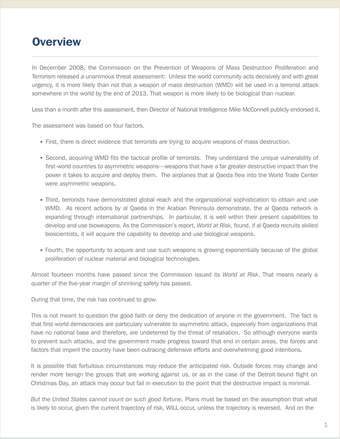### **Overview**

In December 2008, the Commission on the Prevention of Weapons of Mass Destruction Proliferation and Terrorism released a unanimous threat assessment: Unless the world community acts decisively and with great urgency, it is more likely than not that a weapon of mass destruction (WMD) will be used in a terrorist attack somewhere in the world by the end of 2013. That weapon is more likely to be biological than nuclear.

Less than a month after this assessment, then Director of National Intelligence Mike McConnell publicly endorsed it.

The assessment was based on four factors.

- First, there is direct evidence that terrorists are trying to acquire weapons of mass destruction.
- Second, acquiring WMD fits the tactical profile of terrorists. They understand the unique vulnerability of first-world countries to asymmetric weapons—weapons that have a far greater destructive impact than the power it takes to acquire and deploy them. The airplanes that al Qaeda flew into the World Trade Center were asymmetric weapons.
- Third, terrorists have demonstrated global reach and the organizational sophistication to obtain and use WMD. As recent actions by al Qaeda in the Arabian Peninsula demonstrate, the al Qaeda network is expanding through international partnerships. In particular, it is well within their present capabilities to develop and use bioweapons. As the Commission's report, *World at Risk,* found, if al Qaeda recruits skilled bioscientists, it will acquire the capability to develop and use biological weapons.
- Fourth, the opportunity to acquire and use such weapons is growing exponentially because of the global proliferation of nuclear material and biological technologies.

Almost fourteen months have passed since the Commission issued its *World at Risk*. That means nearly a quarter of the five-year margin of shrinking safety has passed.

During that time, the risk has continued to grow.

This is not meant to question the good faith or deny the dedication of anyone in the government. The fact is that first-world democracies are particulary vulnerable to asymmetric attack, especially from organizations that have no national base and therefore, are undeterred by the threat of retaliation. So although everyone wants to prevent such attacks, and the government made progress toward that end in certain areas, the forces and factors that imperil the country have been outracing defensive efforts and overwhelming good intentions.

It is possible that fortuitous circumstances may reduce the anticipated risk. Outside forces may change and render more benign the groups that are working against us, or as in the case of the Detroit-bound flight on Christmas Day, an attack may occur but fail in execution to the point that the destructive impact is minimal.

*But the United States cannot count on such good fortune.* Plans must be based on the assumption that what is likely to occur, given the current trajectory of risk, WILL occur, unless the trajectory is reversed. And on the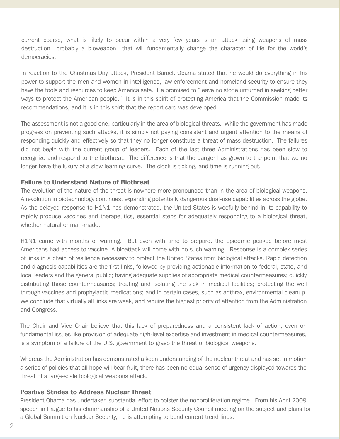current course, what is likely to occur within a very few years is an attack using weapons of mass destruction—probably a bioweapon—that will fundamentally change the character of life for the world's democracies.

In reaction to the Christmas Day attack, President Barack Obama stated that he would do everything in his power to support the men and women in intelligence, law enforcement and homeland security to ensure they have the tools and resources to keep America safe. He promised to "leave no stone unturned in seeking better ways to protect the American people." It is in this spirit of protecting America that the Commission made its recommendations, and it is in this spirit that the report card was developed.

The assessment is not a good one, particularly in the area of biological threats. While the government has made progress on preventing such attacks, it is simply not paying consistent and urgent attention to the means of responding quickly and effectively so that they no longer constitute a threat of mass destruction. The failures did not begin with the current group of leaders. Each of the last three Administrations has been slow to recognize and respond to the biothreat. The difference is that the danger has grown to the point that we no longer have the luxury of a slow learning curve. The clock is ticking, and time is running out.

#### Failure to Understand Nature of Biothreat

The evolution of the nature of the threat is nowhere more pronounced than in the area of biological weapons. A revolution in biotechnology continues, expanding potentially dangerous dual-use capabilities across the globe. As the delayed response to H1N1 has demonstrated, the United States is woefully behind in its capability to rapidly produce vaccines and therapeutics, essential steps for adequately responding to a biological threat, whether natural or man-made.

H1N1 came with months of warning. But even with time to prepare, the epidemic peaked before most Americans had access to vaccine. A bioattack will come with no such warning. Response is a complex series of links in a chain of resilience necessary to protect the United States from biological attacks. Rapid detection and diagnosis capabilities are the first links, followed by providing actionable information to federal, state, and local leaders and the general public; having adequate supplies of appropriate medical countermeasures; quickly distributing those countermeasures; treating and isolating the sick in medical facilities; protecting the well through vaccines and prophylactic medications; and in certain cases, such as anthrax, environmental cleanup. We conclude that virtually all links are weak, and require the highest priority of attention from the Administration and Congress.

The Chair and Vice Chair believe that this lack of preparedness and a consistent lack of action, even on fundamental issues like provision of adequate high-level expertise and investment in medical countermeasures, is a symptom of a failure of the U.S. government to grasp the threat of biological weapons.

Whereas the Administration has demonstrated a keen understanding of the nuclear threat and has set in motion a series of policies that all hope will bear fruit, there has been no equal sense of urgency displayed towards the threat of a large-scale biological weapons attack.

#### Positive Strides to Address Nuclear Threat

President Obama has undertaken substantial effort to bolster the nonproliferation regime. From his April 2009 speech in Prague to his chairmanship of a United Nations Security Council meeting on the subject and plans for a Global Summit on Nuclear Security, he is attempting to bend current trend lines.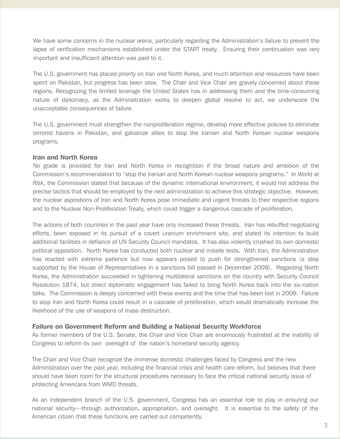We have some concerns in the nuclear arena, particularly regarding the Administration's failure to prevent the lapse of verification mechanisms established under the START treaty. Ensuring their continuation was very important and insufficient attention was paid to it.

The U.S. government has placed priority on Iran and North Korea, and much attention and resources have been spent on Pakistan, but progress has been slow. The Chair and Vice Chair are gravely concerned about these regions. Recognizing the limited leverage the United States has in addressing them and the time-consuming nature of diplomacy, as the Administration works to deepen global resolve to act, we underscore the unacceptable consequences of failure.

The U.S. government must strengthen the nonproliferation regime, develop more effective policies to eliminate terrorist havens in Pakistan, and galvanize allies to stop the Iranian and North Korean nuclear weapons programs.

#### Iran and North Korea

No grade is provided for Iran and North Korea in recognition if the broad nature and ambition of the Commission's recommendation to "stop the Iranian and North Korean nuclear weapons programs." In *World at Risk*, the Commission stated that because of the dynamic international environment, it would not address the precise tactics that should be employed by the next administration to achieve this strategic objective. However, the nuclear aspirations of Iran and North Korea pose immediate and urgent threats to their respective regions and to the Nuclear Non-Proliferation Treaty, which could trigger a dangerous cascade of proliferation.

The actions of both countries in the past year have only increased these threats. Iran has rebuffed negotiating efforts, been exposed in its pursuit of a covert uranium enrichment site, and stated its intention to build additional facilities in defiance of UN Security Council mandates. It has also violently crushed its own domestic political opposition. North Korea has conducted both nuclear and missile tests. With Iran, the Administration has reacted with extreme patience but now appears poised to push for strengthened sanctions (a step supported by the House of Representatives in a sanctions bill passed in December 2009). Regarding North Korea, the Administration succeeded in tightening multilateral sanctions on the country with Security Council Resolution 1874, but direct diplomatic engagement has failed to bring North Korea back into the six-nation talks. The Commission is deeply concerned with these events and the time that has been lost in 2009. Failure to stop Iran and North Korea could result in a cascade of proliferation, which would dramatically increase the likelihood of the use of weapons of mass destruction.

#### Failure on Government Reform and Building a National Security Workforce

As former members of the U.S. Senate, the Chair and Vice Chair are enormously frustrated at the inability of Congress to reform its own oversight of the nation's homeland security agency.

The Chair and Vice Chair recognize the immense domestic challenges faced by Congress and the new Administration over the past year, including the financial crisis and health care reform, but believes that there should have been room for the structural procedures necessary to face the critical national security issue of protecting Americans from WMD threats.

As an independent branch of the U.S. government, Congress has an essential role to play in ensuring our national security—through authorization, appropriation, and oversight. It is essential to the safety of the American citizen that these functions are carried out competently.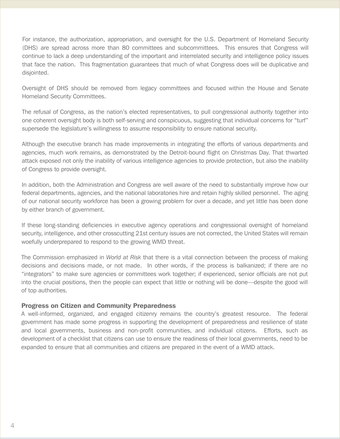For instance, the authorization, appropriation, and oversight for the U.S. Department of Homeland Security (DHS) are spread across more than 80 committees and subcommittees. This ensures that Congress will continue to lack a deep understanding of the important and interrelated security and intelligence policy issues that face the nation. This fragmentation guarantees that much of what Congress does will be duplicative and disjointed.

Oversight of DHS should be removed from legacy committees and focused within the House and Senate Homeland Security Committees.

The refusal of Congress, as the nation's elected representatives, to pull congressional authority together into one coherent oversight body is both self-serving and conspicuous, suggesting that individual concerns for "turf" supersede the legislature's willingness to assume responsibility to ensure national security.

Although the executive branch has made improvements in integrating the efforts of various departments and agencies, much work remains, as demonstrated by the Detroit-bound flight on Christmas Day. That thwarted attack exposed not only the inability of various intelligence agencies to provide protection, but also the inability of Congress to provide oversight.

In addition, both the Administration and Congress are well aware of the need to substantially improve how our federal departments, agencies, and the national laboratories hire and retain highly skilled personnel. The aging of our national security workforce has been a growing problem for over a decade, and yet little has been done by either branch of government.

If these long-standing deficiencies in executive agency operations and congressional oversight of homeland security, intelligence, and other crosscutting 21st century issues are not corrected, the United States will remain woefully underprepared to respond to the growing WMD threat.

The Commission emphasized in *World at Risk* that there is a vital connection between the process of making decisions and decisions made, or not made. In other words, if the process is balkanized; if there are no "integrators" to make sure agencies or committees work together; if experienced, senior officials are not put into the crucial positions, then the people can expect that little or nothing will be done—despite the good will of top authorities.

#### Progress on Citizen and Community Preparedness

A well-informed, organized, and engaged citizenry remains the country's greatest resource. The federal government has made some progress in supporting the development of preparedness and resilience of state and local governments, business and non-profit communities, and individual citizens. Efforts, such as development of a checklist that citizens can use to ensure the readiness of their local governments, need to be expanded to ensure that all communities and citizens are prepared in the event of a WMD attack.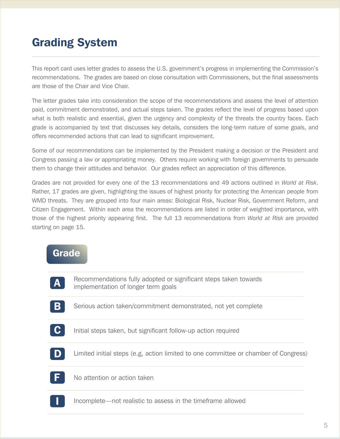# Grading System

This report card uses letter grades to assess the U.S. government's progress in implementing the Commission's recommendations. The grades are based on close consultation with Commissioners, but the final assessments are those of the Chair and Vice Chair.

The letter grades take into consideration the scope of the recommendations and assess the level of attention paid, commitment demonstrated, and actual steps taken. The grades reflect the level of progress based upon what is both realistic and essential, given the urgency and complexity of the threats the country faces. Each grade is accompanied by text that discusses key details, considers the long-term nature of some goals, and offers recommended actions that can lead to significant improvement.

Some of our recommendations can be implemented by the President making a decision or the President and Congress passing a law or appropriating money. Others require working with foreign governments to persuade them to change their attitudes and behavior. Our grades reflect an appreciation of this difference.

Grades are not provided for every one of the 13 recommendations and 49 actions outlined in *World at Risk*. Rather, 17 grades are given, highlighting the issues of highest priority for protecting the American people from WMD threats. They are grouped into four main areas: Biological Risk, Nuclear Risk, Government Reform, and Citizen Engagement. Within each area the recommendations are listed in order of weighted importance, with those of the highest priority appearing first. The full 13 recommendations from *World at Risk* are provided starting on page 15.

### Grade

I

| $\bm{ \mathbf{A} }$ | Recommendations fully adopted or significant steps taken towards<br>implementation of longer term goals |
|---------------------|---------------------------------------------------------------------------------------------------------|
| - B                 | Serious action taken/commitment demonstrated, not yet complete                                          |
| I C                 | Initial steps taken, but significant follow-up action required                                          |
|                     | Limited initial steps (e.g. action limited to one committee or chamber of Congress)                     |
|                     | No attention or action taken                                                                            |
|                     |                                                                                                         |

Incomplete—not realistic to assess in the timeframe allowed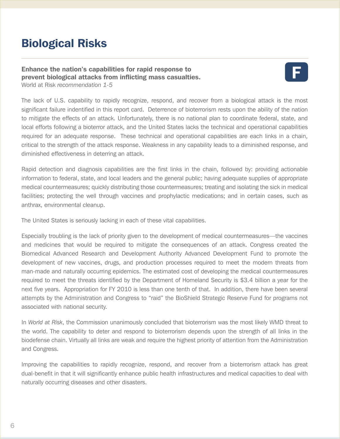# Biological Risks

Enhance the nation's capabilities for rapid response to prevent biological attacks from inflicting mass casualties. World at Risk *recommendation 1-5*



The lack of U.S. capability to rapidly recognize, respond, and recover from a biological attack is the most significant failure indentified in this report card. Deterrence of bioterrorism rests upon the ability of the nation to mitigate the effects of an attack. Unfortunately, there is no national plan to coordinate federal, state, and local efforts following a bioterror attack, and the United States lacks the technical and operational capabilities required for an adequate response. These technical and operational capabilities are each links in a chain, critical to the strength of the attack response. Weakness in any capability leads to a diminished response, and diminished effectiveness in deterring an attack.

Rapid detection and diagnosis capabilities are the first links in the chain, followed by: providing actionable information to federal, state, and local leaders and the general public; having adequate supplies of appropriate medical countermeasures; quickly distributing those countermeasures; treating and isolating the sick in medical facilities; protecting the well through vaccines and prophylactic medications; and in certain cases, such as anthrax, environmental cleanup.

The United States is seriously lacking in each of these vital capabilities.

Especially troubling is the lack of priority given to the development of medical countermeasures—the vaccines and medicines that would be required to mitigate the consequences of an attack. Congress created the Biomedical Advanced Research and Development Authority Advanced Development Fund to promote the development of new vaccines, drugs, and production processes required to meet the modern threats from man-made and naturally occurring epidemics. The estimated cost of developing the medical countermeasures required to meet the threats identified by the Department of Homeland Security is \$3.4 billion a year for the next five years. Appropriation for FY 2010 is less than one tenth of that. In addition, there have been several attempts by the Administration and Congress to "raid" the BioShield Strategic Reserve Fund for programs not associated with national security.

In *World at Risk*, the Commission unanimously concluded that bioterrorism was the most likely WMD threat to the world. The capability to deter and respond to bioterrorism depends upon the strength of all links in the biodefense chain. Virtually all links are weak and require the highest priority of attention from the Administration and Congress.

Improving the capabilities to rapidly recognize, respond, and recover from a bioterrorism attack has great dual-benefit in that it will significantly enhance public health infrastructures and medical capacities to deal with naturally occurring diseases and other disasters.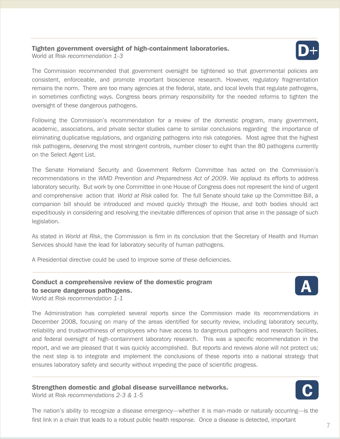#### Tighten government oversight of high-containment laboratories.

World at Risk *recommendation 1-3*



The Commission recommended that government oversight be tightened so that governmental policies are consistent, enforceable, and promote important bioscience research. However, regulatory fragmentation remains the norm. There are too many agencies at the federal, state, and local levels that regulate pathogens, in sometimes conflicting ways. Congress bears primary responsibility for the needed reforms to tighten the oversight of these dangerous pathogens.

Following the Commission's recommendation for a review of the domestic program, many government, academic, associations, and private sector studies came to similar conclusions regarding the importance of eliminating duplicative regulations, and organizing pathogens into risk categories. Most agree that the highest risk pathogens, deserving the most stringent controls, number closer to eight than the 80 pathogens currently on the Select Agent List.

The Senate Homeland Security and Government Reform Committee has acted on the Commission's recommendations in the *WMD Prevention and Preparedness Act of 2009*. We applaud its efforts to address laboratory security. But work by one Committee in one House of Congress does not represent the kind of urgent and comprehensive action that *World at Risk* called for. The full Senate should take up the Committee Bill, a companion bill should be introduced and moved quickly through the House, and both bodies should act expeditiously in considering and resolving the inevitable differences of opinion that arise in the passage of such legislation.

As stated in *World at Risk*, the Commission is firm in its conclusion that the Secretary of Health and Human Services should have the lead for laboratory security of human pathogens.

A Presidential directive could be used to improve some of these deficiencies.

#### Conduct a comprehensive review of the domestic program to secure dangerous pathogens. World at Risk *recommendation 1-1*



C

The Administration has completed several reports since the Commission made its recommendations in December 2008, focusing on many of the areas identified for security review, including laboratory security, reliability and trustworthiness of employees who have access to dangerous pathogens and research facilities, and federal oversight of high-containment laboratory research. This was a specific recommendation in the report, and we are pleased that it was quickly accomplished. But reports and reviews alone will not protect us; the next step is to integrate and implement the conclusions of these reports into a national strategy that ensures laboratory safety and security without impeding the pace of scientific progress.

#### Strengthen domestic and global disease surveillance networks.

World at Risk *recommendations 2-3 & 1-5*

The nation's ability to recognize a disease emergency—whether it is man-made or naturally occurring—is the first link in a chain that leads to a robust public health response. Once a disease is detected, important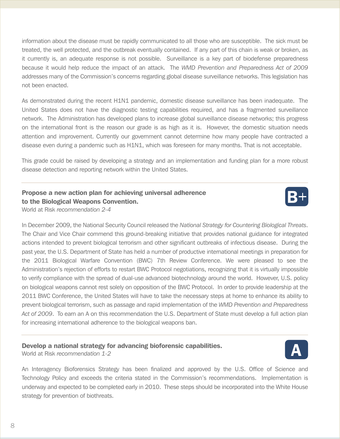information about the disease must be rapidly communicated to all those who are susceptible. The sick must be treated, the well protected, and the outbreak eventually contained. If any part of this chain is weak or broken, as it currently is, an adequate response is not possible. Surveillance is a key part of biodefense preparedness because it would help reduce the impact of an attack. The *WMD Prevention and Preparedness Act of 2009* addresses many of the Commission's concerns regarding global disease surveillance networks. This legislation has not been enacted.

As demonstrated during the recent H1N1 pandemic, domestic disease surveillance has been inadequate. The United States does not have the diagnostic testing capabilities required, and has a fragmented surveillance network. The Administration has developed plans to increase global surveillance disease networks; this progress on the international front is the reason our grade is as high as it is. However, the domestic situation needs attention and improvement. Currently our government cannot determine how many people have contracted a disease even during a pandemic such as H1N1, which was foreseen for many months. That is not acceptable.

This grade could be raised by developing a strategy and an implementation and funding plan for a more robust disease detection and reporting network within the United States.

### Propose a new action plan for achieving universal adherence to the Biological Weapons Convention.



A

World at Risk *recommendation 2-4*

In December 2009, the National Security Council released the *National Strategy for Countering Biological Threats*. The Chair and Vice Chair commend this ground-breaking initiative that provides national guidance for integrated actions intended to prevent biological terrorism and other significant outbreaks of infectious disease. During the past year, the U.S. Department of State has held a number of productive international meetings in preparation for the 2011 Biological Warfare Convention (BWC) 7th Review Conference. We were pleased to see the Administration's rejection of efforts to restart BWC Protocol negotiations, recognizing that it is virtually impossible to verify compliance with the spread of dual-use advanced biotechnology around the world. However, U.S. policy on biological weapons cannot rest solely on opposition of the BWC Protocol. In order to provide leadership at the 2011 BWC Conference, the United States will have to take the necessary steps at home to enhance its ability to prevent biological terrorism, such as passage and rapid implementation of the *WMD Prevention and Preparedness Act of 2009*. To earn an A on this recommendation the U.S. Department of State must develop a full action plan for increasing international adherence to the biological weapons ban.

#### Develop a national strategy for advancing bioforensic capabilities.

World at Risk *recommendation 1-2*

An Interagency Bioforensics Strategy has been finalized and approved by the U.S. Office of Science and Technology Policy and exceeds the criteria stated in the Commission's recommendations. Implementation is underway and expected to be completed early in 2010. These steps should be incorporated into the White House strategy for prevention of biothreats.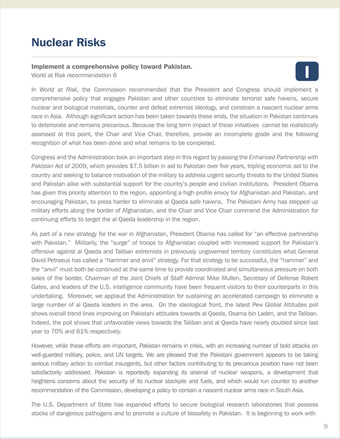### Nuclear Risks

#### Implement a comprehensive policy toward Pakistan.

World at Risk *recommendation 6*



In *World at Risk*, the Commission recommended that the President and Congress should implement a comprehensive policy that engages Pakistan and other countries to eliminate terrorist safe havens, secure nuclear and biological materials, counter and defeat extremist ideology, and constrain a nascent nuclear arms race in Asia. Although significant action has been taken towards these ends, the situation in Pakistan continues to deteriorate and remains precarious. Because the long term impact of these initiatives cannot be realistically assessed at this point, the Chair and Vice Chair, therefore, provide an incomplete grade and the following recognition of what has been done and what remains to be completed.

Congress and the Administration took an important step in this regard by passing the *Enhanced Partnership with Pakistan Act of 2009*, which provides \$7.5 billion in aid to Pakistan over five years, tripling economic aid to the country and seeking to balance motivation of the military to address urgent security threats to the United States and Pakistan alike with substantial support for the country's people and civilian institutions. President Obama has given this priority attention to the region, appointing a high-profile envoy for Afghanistan and Pakistan, and encouraging Pakistan, to press harder to eliminate al Qaeda safe havens. The Pakistani Army has stepped up military efforts along the border of Afghanistan, and the Chair and Vice Chair commend the Administration for continuing efforts to target the al Qaeda leadership in the region.

As part of a new strategy for the war in Afghanistan, President Obama has called for "an effective partnership with Pakistan." Militarily, the "surge" of troops to Afghanistan coupled with increased support for Pakistan's offensive against al Qaeda and Taliban extremists in previously ungoverned territory constitutes what General David Petraeus has called a "hammer and anvil" strategy. For that strategy to be successful, the "hammer" and the "anvil" must both be continued at the same time to provide coordinated and simultaneous pressure on both sides of the border. Chairman of the Joint Chiefs of Staff Admiral Mike Mullen, Secretary of Defense Robert Gates, and leaders of the U.S. intelligence community have been frequent visitors to their counterparts in this undertaking. Moreover, we applaud the Administration for sustaining an accelerated campaign to eliminate a large number of al Qaeda leaders in the area. On the ideological front, the latest Pew Global Attitudes poll shows overall trend lines improving on Pakistani attitudes towards al Qaeda, Osama bin Laden, and the Taliban. Indeed, the poll shows that unfavorable views towards the Taliban and al Qaeda have nearly doubled since last year to 70% and 61% respectively.

However, while these efforts are important, Pakistan remains in crisis, with an increasing number of bold attacks on well-guarded military, police, and UN targets. We are pleased that the Pakistani government appears to be taking serious military action to combat insurgents, but other factors contributing to its precarious position have not been satisfactorily addressed. Pakistan is reportedly expanding its arsenal of nuclear weapons, a development that heightens concerns about the security of its nuclear stockpile and fuels, and which would run counter to another recommendation of the Commission, developing a policy to contain a nascent nuclear arms race in South Asia.

The U.S. Department of State has expanded efforts to secure biological research laboratories that possess stocks of dangerous pathogens and to promote a culture of biosafety in Pakistan. It is beginning to work with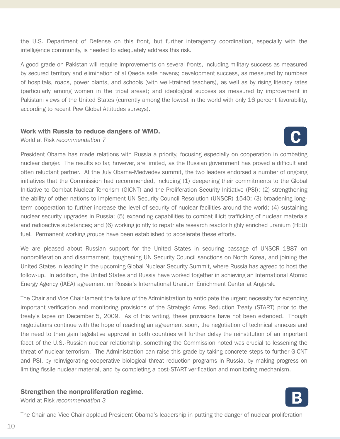the U.S. Department of Defense on this front, but further interagency coordination, especially with the intelligence community, is needed to adequately address this risk.

A good grade on Pakistan will require improvements on several fronts, including military success as measured by secured territory and elimination of al Qaeda safe havens; development success, as measured by numbers of hospitals, roads, power plants, and schools (with well-trained teachers), as well as by rising literacy rates (particularly among women in the tribal areas); and ideological success as measured by improvement in Pakistani views of the United States (currently among the lowest in the world with only 16 percent favorability, according to recent Pew Global Attitudes surveys).

#### Work with Russia to reduce dangers of WMD.

World at Risk *recommendation 7*



President Obama has made relations with Russia a priority, focusing especially on cooperation in combating nuclear danger. The results so far, however, are limited, as the Russian government has proved a difficult and often reluctant partner. At the July Obama-Medvedev summit, the two leaders endorsed a number of ongoing initiatives that the Commission had recommended, including (1) deepening their commitments to the Global Initiative to Combat Nuclear Terrorism (GICNT) and the Proliferation Security Initiative (PSI); (2) strengthening the ability of other nations to implement UN Security Council Resolution (UNSCR) 1540; (3) broadening longterm cooperation to further increase the level of security of nuclear facilities around the world; (4) sustaining nuclear security upgrades in Russia; (5) expanding capabilities to combat illicit trafficking of nuclear materials and radioactive substances; and (6) working jointly to repatriate research reactor highly enriched uranium (HEU) fuel. Permanent working groups have been established to accelerate these efforts.

We are pleased about Russian support for the United States in securing passage of UNSCR 1887 on nonproliferation and disarmament, toughening UN Security Council sanctions on North Korea, and joining the United States in leading in the upcoming Global Nuclear Security Summit, where Russia has agreed to host the follow-up. In addition, the United States and Russia have worked together in achieving an International Atomic Energy Agency (IAEA) agreement on Russia's International Uranium Enrichment Center at Angarsk.

The Chair and Vice Chair lament the failure of the Administration to anticipate the urgent necessity for extending important verification and monitoring provisions of the Strategic Arms Reduction Treaty (START) prior to the treaty's lapse on December 5, 2009. As of this writing, these provisions have not been extended. Though negotiations continue with the hope of reaching an agreement soon, the negotiation of technical annexes and the need to then gain legislative approval in both countries will further delay the reinstitution of an important facet of the U.S.-Russian nuclear relationship, something the Commission noted was crucial to lessening the threat of nuclear terrorism. The Administration can raise this grade by taking concrete steps to further GICNT and PSI, by reinvigorating cooperative biological threat reduction programs in Russia, by making progress on limiting fissile nuclear material, and by completing a post-START verification and monitoring mechanism.

#### Strengthen the nonproliferation regime.

World at Risk *recommendation 3*



The Chair and Vice Chair applaud President Obama's leadership in putting the danger of nuclear proliferation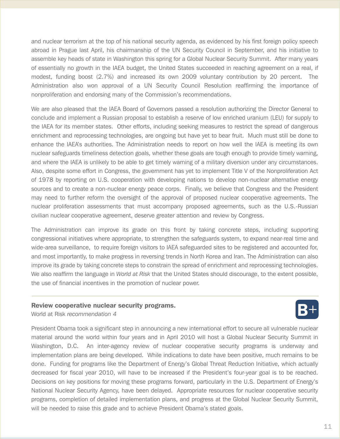and nuclear terrorism at the top of his national security agenda, as evidenced by his first foreign policy speech abroad in Prague last April, his chairmanship of the UN Security Council in September, and his initiative to assemble key heads of state in Washington this spring for a Global Nuclear Security Summit. After many years of essentially no growth in the IAEA budget, the United States succeeded in reaching agreement on a real, if modest, funding boost (2.7%) and increased its own 2009 voluntary contribution by 20 percent. The Administration also won approval of a UN Security Council Resolution reaffirming the importance of nonproliferation and endorsing many of the Commission's recommendations.

We are also pleased that the IAEA Board of Governors passed a resolution authorizing the Director General to conclude and implement a Russian proposal to establish a reserve of low enriched uranium (LEU) for supply to the IAEA for its member states. Other efforts, including seeking measures to restrict the spread of dangerous enrichment and reprocessing technologies, are ongoing but have yet to bear fruit. Much must still be done to enhance the IAEA's authorities. The Administration needs to report on how well the IAEA is meeting its own nuclear safeguards timeliness detection goals, whether these goals are tough enough to provide timely warning, and where the IAEA is unlikely to be able to get timely warning of a military diversion under any circumstances. Also, despite some effort in Congress, the government has yet to implement Title V of the Nonproliferation Act of 1978 by reporting on U.S. cooperation with developing nations to develop non-nuclear alternative energy sources and to create a non-nuclear energy peace corps. Finally, we believe that Congress and the President may need to further reform the oversight of the approval of proposed nuclear cooperative agreements. The nuclear proliferation assessments that must accompany proposed agreements, such as the U.S.-Russian civilian nuclear cooperative agreement, deserve greater attention and review by Congress.

The Administration can improve its grade on this front by taking concrete steps, including supporting congressional initiatives where appropriate, to strengthen the safeguards system, to expand near-real time and wide-area surveillance, to require foreign visitors to IAEA safeguarded sites to be registered and accounted for, and most importantly, to make progress in reversing trends in North Korea and Iran. The Administration can also improve its grade by taking concrete steps to constrain the spread of enrichment and reprocessing technologies. We also reaffirm the language in *World at Risk* that the United States should discourage, to the extent possible, the use of financial incentives in the promotion of nuclear power.

#### Review cooperative nuclear security programs.

B

World at Risk *recommendation 4*

President Obama took a significant step in announcing a new international effort to secure all vulnerable nuclear material around the world within four years and in April 2010 will host a Global Nuclear Security Summit in Washington, D.C. An inter-agency review of nuclear cooperative security programs is underway and implementation plans are being developed. While indications to date have been positive, much remains to be done. Funding for programs like the Department of Energy's Global Threat Reduction Initiative, which actually decreased for fiscal year 2010, will have to be increased if the President's four-year goal is to be reached. Decisions on key positions for moving these programs forward, particularly in the U.S. Department of Energy's National Nuclear Security Agency, have been delayed. Appropriate resources for nuclear cooperative security programs, completion of detailed implementation plans, and progress at the Global Nuclear Security Summit, will be needed to raise this grade and to achieve President Obama's stated goals.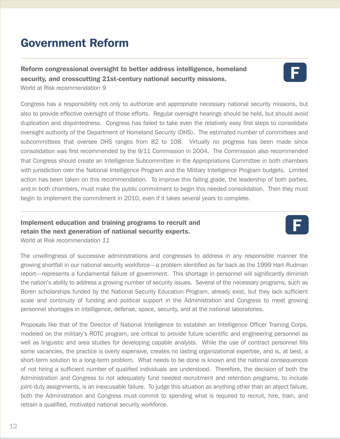# Government Reform

Reform congressional oversight to better address intelligence, homeland security, and crosscutting 21st-century national security missions. World at Risk *recommendation 9*



Congress has a responsibility not only to authorize and appropriate necessary national security missions, but also to provide effective oversight of those efforts. Regular oversight hearings should be held, but should avoid duplication and disjointedness. Congress has failed to take even the relatively easy first steps to consolidate oversight authority of the Department of Homeland Security (DHS). The estimated number of committees and subcommittees that oversee DHS ranges from 82 to 108. Virtually no progress has been made since consolidation was first recommended by the 9/11 Commission in 2004. The Commission also recommended that Congress should create an Intelligence Subcommittee in the Appropriations Committee in both chambers with jurisdiction over the National Intelligence Program and the Military Intelligence Program budgets. Limited action has been taken on this recommendation. To improve this failing grade, the leadership of both parties, and in both chambers, must make the public commitment to begin this needed consolidation. Then they must begin to implement the commitment in 2010, even if it takes several years to complete.

#### Implement education and training programs to recruit and retain the next generation of national security experts.



World at Risk *recommendation 11*

The unwillingness of successive administrations and congresses to address in any responsible manner the growing shortfall in our national security workforce—a problem identified as far back as the 1999 Hart-Rudman report—represents a fundamental failure of government. This shortage in personnel will significantly diminish the nation's ability to address a growing number of security issues. Several of the necessary programs, such as Boren scholarships funded by the National Security Education Program, already exist, but they lack sufficient scale and continuity of funding and political support in the Administration and Congress to meet growing personnel shortages in intelligence, defense, space, security, and at the national laboratories.

Proposals like that of the Director of National Intelligence to establish an Intelligence Officer Training Corps, modeled on the military's ROTC program, are critical to provide future scientific and engineering personnel as well as linguistic and area studies for developing capable analysts. While the use of contract personnel fills some vacancies, the practice is overly expensive, creates no lasting organizational expertise, and is, at best, a short-term solution to a long-term problem. What needs to be done is known and the national *consequences* of not hiring a sufficient number of qualified individuals are understood. Therefore, the decision of both the Administration and Congress to not adequately fund needed recruitment and retention programs, to include joint-duty assignments, is an inexcusable failure. To judge this situation as anything other than an abject failure, both the Administration and Congress must commit to spending what is required to recruit, hire, train, and retrain a qualified, motivated national security workforce.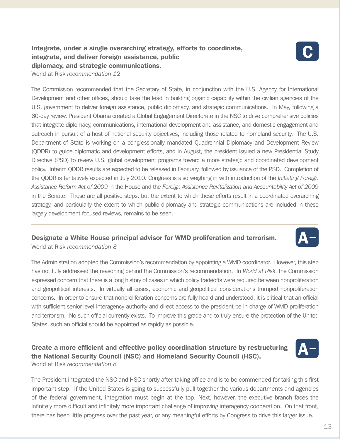### Integrate, under a single overarching strategy, efforts to coordinate, integrate, and deliver foreign assistance, public diplomacy, and strategic communications.



The Commission recommended that the Secretary of State, in conjunction with the U.S. Agency for International Development and other offices, should take the lead in building organic capability within the civilian agencies of the U.S. government to deliver foreign assistance, public diplomacy, and strategic communications. In May, following a 60-day review, President Obama created a Global Engagement Directorate in the NSC to drive comprehensive policies that integrate diplomacy, communications, international development and assistance, and domestic engagement and outreach in pursuit of a host of national security objectives, including those related to homeland security. The U.S. Department of State is working on a congressionally mandated Quadrennial Diplomacy and Development Review (QDDR) to guide diplomatic and development efforts, and in August, the president issued a new Presidential Study Directive (PSD) to review U.S. global development programs toward a more strategic and coordinated development policy. Interim QDDR results are expected to be released in February, followed by issuance of the PSD. Completion of the QDDR is tentatively expected in July 2010. Congress is also weighing in with introduction of the *Initiating Foreign Assistance Reform Act of 2009* in the House and the *Foreign Assistance Revitalization and Accountability Act of 2009*  in the Senate. These are all positive steps, but the extent to which these efforts result in a coordinated overarching strategy, and particularly the extent to which public diplomacy and strategic communications are included in these largely development focused reviews, remains to be seen.

#### Designate a White House principal advisor for WMD proliferation and terrorism.

World at Risk *recommendation 8*

The Administration adopted the Commission's recommendation by appointing a WMD coordinator. However, this step has not fully addressed the reasoning behind the Commission's recommendation. In *World at Risk*, the Commission expressed concern that there is a long history of cases in which policy tradeoffs were required between nonproliferation and geopolitical interests. In virtually all cases, economic and geopolitical considerations trumped nonproliferation concerns. In order to ensure that nonproliferation concerns are fully heard and understood, it is critical that an official with sufficient senior-level interagency authority and direct access to the president be in charge of WMD proliferation and terrorism. No such official currently exists. To improve this grade and to truly ensure the protection of the United States, such an official should be appointed as rapidly as possible.

#### Create a more efficient and effective policy coordination structure by restructuring the National Security Council (NSC) and Homeland Security Council (HSC). World at Risk *recommendation 8*

The President integrated the NSC and HSC shortly after taking office and is to be commended for taking this first important step. If the United States is going to successfully pull together the various departments and agencies of the federal government, integration must begin at the top. Next, however, the executive branch faces the infinitely more difficult and infinitely more important challenge of improving interagency cooperation. On that front, there has been little progress over the past year, or any meaningful efforts by Congress to drive this larger issue.





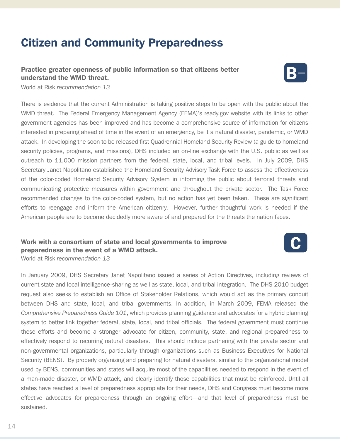### Citizen and Community Preparedness

Practice greater openness of public information so that citizens better understand the WMD threat.



World at Risk *recommendation 13*

There is evidence that the current Administration is taking positive steps to be open with the public about the WMD threat. The Federal Emergency Management Agency (FEMA)'s ready.gov website with its links to other government agencies has been improved and has become a comprehensive source of information for citizens interested in preparing ahead of time in the event of an emergency, be it a natural disaster, pandemic, or WMD attack. In developing the soon to be released first Quadrennial Homeland Security Review (a guide to homeland security policies, programs, and missions), DHS included an on-line exchange with the U.S. public as well as outreach to 11,000 mission partners from the federal, state, local, and tribal levels. In July 2009, DHS Secretary Janet Napolitano established the Homeland Security Advisory Task Force to assess the effectiveness of the color-coded Homeland Security Advisory System in informing the public about terrorist threats and communicating protective measures within government and throughout the private sector. The Task Force recommended changes to the color-coded system, but no action has yet been taken. These are significant efforts to reengage and inform the American citizenry. However, further thoughtful work is needed if the American people are to become decidedly more aware of and prepared for the threats the nation faces.

Work with a consortium of state and local governments to improve preparedness in the event of a WMD attack. World at Risk *recommendation 13*



In January 2009, DHS Secretary Janet Napolitano issued a series of Action Directives, including reviews of current state and local intelligence-sharing as well as state, local, and tribal integration. The DHS 2010 budget request also seeks to establish an Office of Stakeholder Relations, which would act as the primary conduit between DHS and state, local, and tribal governments. In addition, in March 2009, FEMA released the *Comprehensive Preparedness Guide 101*, which provides planning guidance and advocates for a hybrid planning system to better link together federal, state, local, and tribal officials. The federal government must continue these efforts and become a stronger advocate for citizen, community, state, and regional preparedness to effectively respond to recurring natural disasters. This should include partnering with the private sector and non-governmental organizations, particularly through organizations such as Business Executives for National Security (BENS). By properly organizing and preparing for natural disasters, similar to the organizational model used by BENS, communities and states will acquire most of the capabilities needed to respond in the event of a man-made disaster, or WMD attack, and clearly identify those capabilities that must be reinforced. Until all states have reached a level of preparedness appropiate for their needs, DHS and Congress must become more effective advocates for preparedness through an ongoing effort—and that level of preparedness must be sustained.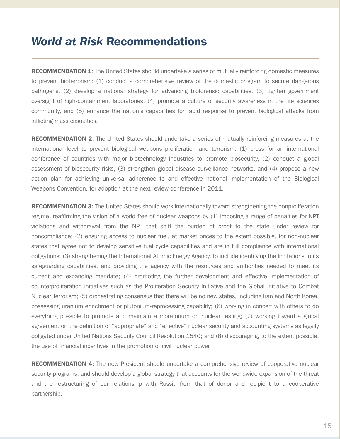### *World at Risk* Recommendations

RECOMMENDATION 1: The United States should undertake a series of mutually reinforcing domestic measures to prevent bioterrorism: (1) conduct a comprehensive review of the domestic program to secure dangerous pathogens, (2) develop a national strategy for advancing bioforensic capabilities, (3) tighten government oversight of high-containment laboratories, (4) promote a culture of security awareness in the life sciences community, and (5) enhance the nation's capabilities for rapid response to prevent biological attacks from inflicting mass casualties.

**RECOMMENDATION 2:** The United States should undertake a series of mutually reinforcing measures at the international level to prevent biological weapons proliferation and terrorism: (1) press for an international conference of countries with major biotechnology industries to promote biosecurity, (2) conduct a global assessment of biosecurity risks, (3) strengthen global disease surveillance networks, and (4) propose a new action plan for achieving universal adherence to and effective national implementation of the Biological Weapons Convention, for adoption at the next review conference in 2011.

**RECOMMENDATION 3:** The United States should work internationally toward strengthening the nonproliferation regime, reaffirming the vision of a world free of nuclear weapons by (1) imposing a range of penalties for NPT violations and withdrawal from the NPT that shift the burden of proof to the state under review for noncompliance; (2) ensuring access to nuclear fuel, at market prices to the extent possible, for non-nuclear states that agree not to develop sensitive fuel cycle capabilities and are in full compliance with international obligations; (3) strengthening the International Atomic Energy Agency, to include identifying the limitations to its safeguarding capabilities, and providing the agency with the resources and authorities needed to meet its current and expanding mandate; (4) promoting the further development and effective implementation of counterproliferation initiatives such as the Proliferation Security Initiative and the Global Initiative to Combat Nuclear Terrorism; (5) orchestrating consensus that there will be no new states, including Iran and North Korea, possessing uranium enrichment or plutonium-reprocessing capability; (6) working in concert with others to do everything possible to promote and maintain a moratorium on nuclear testing; (7) working toward a global agreement on the definition of "appropriate" and "effective" nuclear security and accounting systems as legally obligated under United Nations Security Council Resolution 1540; and (8) discouraging, to the extent possible, the use of financial incentives in the promotion of civil nuclear power.

**RECOMMENDATION 4:** The new President should undertake a comprehensive review of cooperative nuclear security programs, and should develop a global strategy that accounts for the worldwide expansion of the threat and the restructuring of our relationship with Russia from that of donor and recipient to a cooperative partnership.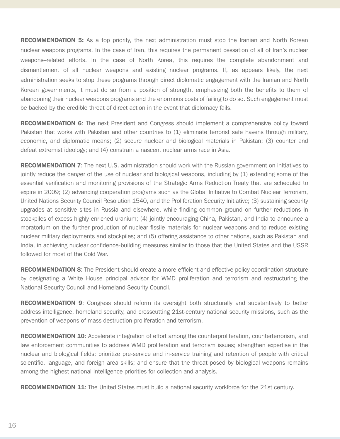**RECOMMENDATION 5:** As a top priority, the next administration must stop the Iranian and North Korean nuclear weapons programs. In the case of Iran, this requires the permanent cessation of all of Iran's nuclear weapons–related efforts. In the case of North Korea, this requires the complete abandonment and dismantlement of all nuclear weapons and existing nuclear programs. If, as appears likely, the next administration seeks to stop these programs through direct diplomatic engagement with the Iranian and North Korean governments, it must do so from a position of strength, emphasizing both the benefits to them of abandoning their nuclear weapons programs and the enormous costs of failing to do so. Such engagement must be backed by the credible threat of direct action in the event that diplomacy fails.

**RECOMMENDATION 6:** The next President and Congress should implement a comprehensive policy toward Pakistan that works with Pakistan and other countries to (1) eliminate terrorist safe havens through military, economic, and diplomatic means; (2) secure nuclear and biological materials in Pakistan; (3) counter and defeat extremist ideology; and (4) constrain a nascent nuclear arms race in Asia.

**RECOMMENDATION 7:** The next U.S. administration should work with the Russian government on initiatives to jointly reduce the danger of the use of nuclear and biological weapons, including by (1) extending some of the essential verification and monitoring provisions of the Strategic Arms Reduction Treaty that are scheduled to expire in 2009; (2) advancing cooperation programs such as the Global Initiative to Combat Nuclear Terrorism, United Nations Security Council Resolution 1540, and the Proliferation Security Initiative; (3) sustaining security upgrades at sensitive sites in Russia and elsewhere, while finding common ground on further reductions in stockpiles of excess highly enriched uranium; (4) jointly encouraging China, Pakistan, and India to announce a moratorium on the further production of nuclear fissile materials for nuclear weapons and to reduce existing nuclear military deployments and stockpiles; and (5) offering assistance to other nations, such as Pakistan and India, in achieving nuclear confidence-building measures similar to those that the United States and the USSR followed for most of the Cold War.

RECOMMENDATION 8: The President should create a more efficient and effective policy coordination structure by designating a White House principal advisor for WMD proliferation and terrorism and restructuring the National Security Council and Homeland Security Council.

**RECOMMENDATION 9:** Congress should reform its oversight both structurally and substantively to better address intelligence, homeland security, and crosscutting 21st-century national security missions, such as the prevention of weapons of mass destruction proliferation and terrorism.

RECOMMENDATION 10: Accelerate integration of effort among the counterproliferation, counterterrorism, and law enforcement communities to address WMD proliferation and terrorism issues; strengthen expertise in the nuclear and biological fields; prioritize pre-service and in-service training and retention of people with critical scientific, language, and foreign area skills; and ensure that the threat posed by biological weapons remains among the highest national intelligence priorities for collection and analysis.

RECOMMENDATION 11: The United States must build a national security workforce for the 21st century.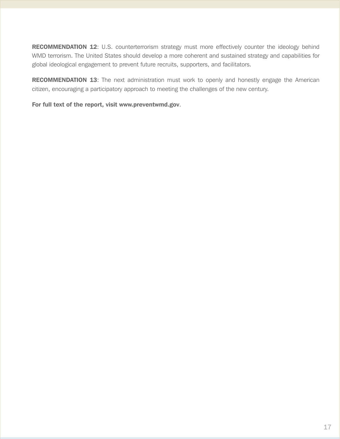RECOMMENDATION 12: U.S. counterterrorism strategy must more effectively counter the ideology behind WMD terrorism. The United States should develop a more coherent and sustained strategy and capabilities for global ideological engagement to prevent future recruits, supporters, and facilitators.

RECOMMENDATION 13: The next administration must work to openly and honestly engage the American citizen, encouraging a participatory approach to meeting the challenges of the new century.

For full text of the report, visit www.preventwmd.gov.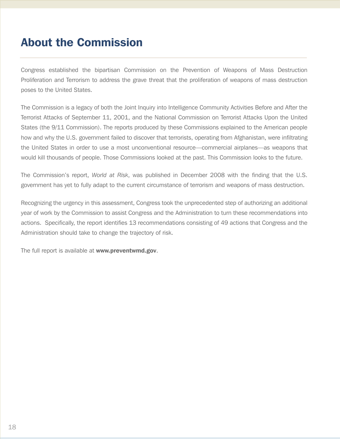### About the Commission

Congress established the bipartisan Commission on the Prevention of Weapons of Mass Destruction Proliferation and Terrorism to address the grave threat that the proliferation of weapons of mass destruction poses to the United States.

The Commission is a legacy of both the Joint Inquiry into Intelligence Community Activities Before and After the Terrorist Attacks of September 11, 2001, and the National Commission on Terrorist Attacks Upon the United States (the 9/11 Commission). The reports produced by these Commissions explained to the American people how and why the U.S. government failed to discover that terrorists, operating from Afghanistan, were infiltrating the United States in order to use a most unconventional resource—commercial airplanes—as weapons that would kill thousands of people. Those Commissions looked at the past. This Commission looks to the future.

The Commission's report, *World at Risk*, was published in December 2008 with the finding that the U.S. government has yet to fully adapt to the current circumstance of terrorism and weapons of mass destruction.

Recognizing the urgency in this assessment, Congress took the unprecedented step of authorizing an additional year of work by the Commission to assist Congress and the Administration to turn these recommendations into actions. Specifically, the report identifies 13 recommendations consisting of 49 actions that Congress and the Administration should take to change the trajectory of risk.

The full report is available at www.preventwmd.gov.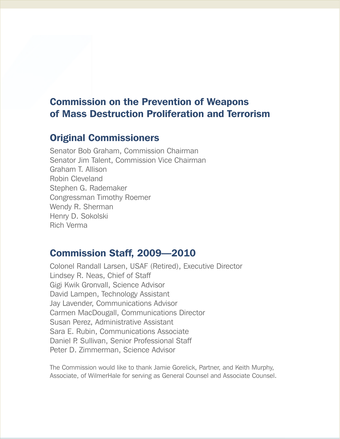### Commission on the Prevention of Weapons of Mass Destruction Proliferation and Terrorism

### Original Commissioners

Senator Bob Graham, Commission Chairman Senator Jim Talent, Commission Vice Chairman Graham T. Allison Robin Cleveland Stephen G. Rademaker Congressman Timothy Roemer Wendy R. Sherman Henry D. Sokolski Rich Verma

### Commission Staff, 2009—2010

Colonel Randall Larsen, USAF (Retired), Executive Director Lindsey R. Neas, Chief of Staff Gigi Kwik Gronvall, Science Advisor David Lampen, Technology Assistant Jay Lavender, Communications Advisor Carmen MacDougall, Communications Director Susan Perez, Administrative Assistant Sara E. Rubin, Communications Associate Daniel P. Sullivan, Senior Professional Staff Peter D. Zimmerman, Science Advisor

The Commission would like to thank Jamie Gorelick, Partner, and Keith Murphy, Associate, of WilmerHale for serving as General Counsel and Associate Counsel.